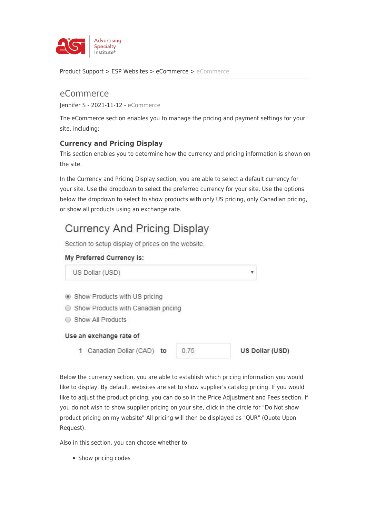

[Product Support](https://kb.asicentral.com/en/kb) > [ESP Websites](https://kb.asicentral.com/en/kb/esp-websites) > [eCommerce](https://kb.asicentral.com/en/kb/ecommerce-2) > [eCommerce](https://kb.asicentral.com/en/kb/articles/ecommerce-2)

# eCommerce Jennifer S - 2021-11-12 - [eCommerce](https://kb.asicentral.com/en/kb/ecommerce-2)

The eCommerce section enables you to manage the pricing and payment settings for your site, including:

# **Currency and Pricing Display**

This section enables you to determine how the currency and pricing information is shown on the site.

In the Currency and Pricing Display section, you are able to select a default currency for your site. Use the dropdown to select the preferred currency for your site. Use the options below the dropdown to select to show products with only US pricing, only Canadian pricing, or show all products using an exchange rate.

# **Currency And Pricing Display**

Section to setup display of prices on the website.

## My Preferred Currency is:

US Dollar (USD)

- Show Products with US pricing
- Show Products with Canadian pricing
- Show All Products

### Use an exchange rate of

1 Canadian Dollar (CAD) to

 $0.75$ 

US Dollar (USD)

Below the currency section, you are able to establish which pricing information you would like to display. By default, websites are set to show supplier's catalog pricing. If you would like to adjust the product pricing, you can do so in the Price Adjustment and Fees section. If you do not wish to show supplier pricing on your site, click in the circle for "Do Not show product pricing on my website" All pricing will then be displayed as "QUR" (Quote Upon Request).

Also in this section, you can choose whether to:

• Show pricing codes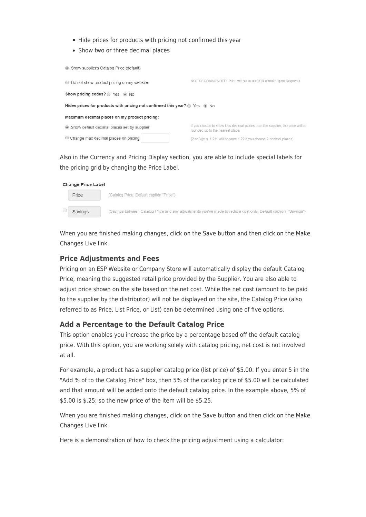- Hide prices for products with pricing not confirmed this year
- Show two or three decimal places

| Show supplier's Catalog Price (default)                                                |                                                                                                                    |
|----------------------------------------------------------------------------------------|--------------------------------------------------------------------------------------------------------------------|
| ◯ Do not show product pricing on my website                                            | NOT RECOMMENDED: Price will show as QUR (Quote Upon Request)                                                       |
| Show pricing codes? yes • No                                                           |                                                                                                                    |
| Hides prices for products with pricing not confirmed this year? $\circ$ Yes $\circ$ No |                                                                                                                    |
| Maximum decimal places on my product pricing:                                          |                                                                                                                    |
| Show default decimal places set by supplier                                            | If you choose to show less decimal places than the supplier, the price will be<br>rounded up to the nearest place. |
| Change max decimal places on pricing                                                   | (2 or 3)(e.g. 1.211 will become 1.22 if you choose 2 decimal places)                                               |

Also in the Currency and Pricing Display section, you are able to include special labels for the pricing grid by changing the Price Label.

| Change Price Label |                                                                                                                 |
|--------------------|-----------------------------------------------------------------------------------------------------------------|
| Price              | (Catalog Price: Default caption "Price")                                                                        |
| Savings            | (Savings between Catalog Price and any adjustments you've made to reduce cost only: Default caption: "Savings") |

When you are finished making changes, click on the Save button and then click on the Make Changes Live link.

### **Price Adjustments and Fees**

Pricing on an ESP Website or Company Store will automatically display the default Catalog Price, meaning the suggested retail price provided by the Supplier. You are also able to adjust price shown on the site based on the net cost. While the net cost (amount to be paid to the supplier by the distributor) will not be displayed on the site, the Catalog Price (also referred to as Price, List Price, or List) can be determined using one of five options.

### **Add a Percentage to the Default Catalog Price**

This option enables you increase the price by a percentage based off the default catalog price. With this option, you are working solely with catalog pricing, net cost is not involved at all.

For example, a product has a supplier catalog price (list price) of \$5.00. If you enter 5 in the "Add % of to the Catalog Price" box, then 5% of the catalog price of \$5.00 will be calculated and that amount will be added onto the default catalog price. In the example above, 5% of \$5.00 is \$.25; so the new price of the item will be \$5.25.

When you are finished making changes, click on the Save button and then click on the Make Changes Live link.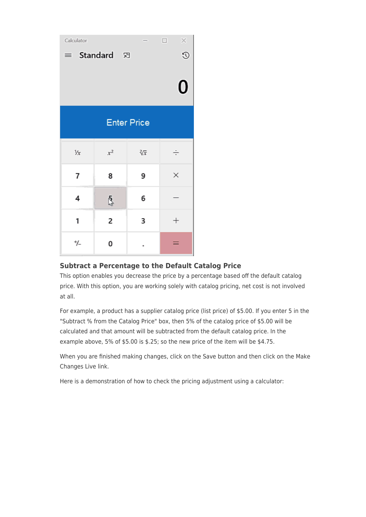| Calculator                        |       |                    | ×<br>$\Box$ |  |
|-----------------------------------|-------|--------------------|-------------|--|
| $\odot$<br>Standard 河<br>$\equiv$ |       |                    |             |  |
|                                   |       |                    |             |  |
|                                   |       |                    | $\bf{0}$    |  |
|                                   |       |                    |             |  |
|                                   |       |                    |             |  |
|                                   |       | <b>Enter Price</b> |             |  |
|                                   |       |                    |             |  |
| $\frac{1}{x}$                     | $x^2$ | $\sqrt[2]{x}$      | ÷           |  |
| 7                                 | 8     | 9                  | ×           |  |
|                                   |       |                    |             |  |
| 4                                 | ş     | 6                  |             |  |
| 1                                 | 2     | 3                  | $^+$        |  |
|                                   |       |                    |             |  |
| ≁/_                               | 0     |                    |             |  |

# **Subtract a Percentage to the Default Catalog Price**

This option enables you decrease the price by a percentage based off the default catalog price. With this option, you are working solely with catalog pricing, net cost is not involved at all.

For example, a product has a supplier catalog price (list price) of \$5.00. If you enter 5 in the "Subtract % from the Catalog Price" box, then 5% of the catalog price of \$5.00 will be calculated and that amount will be subtracted from the default catalog price. In the example above, 5% of \$5.00 is \$.25; so the new price of the item will be \$4.75.

When you are finished making changes, click on the Save button and then click on the Make Changes Live link.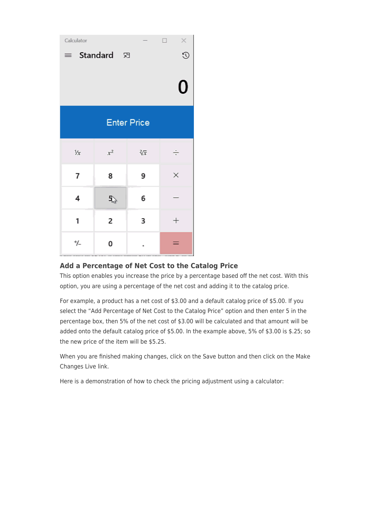| Calculator                         |                              |                    |        |  |
|------------------------------------|------------------------------|--------------------|--------|--|
| $\infty$<br>Standard 河<br>$\equiv$ |                              |                    |        |  |
|                                    |                              |                    | O      |  |
|                                    |                              | <b>Enter Price</b> |        |  |
| $\frac{1}{x}$                      | $x^2$                        | $\sqrt[2]{x}$      | ÷      |  |
| 7                                  | 8                            | 9                  | ×      |  |
| 4                                  | $\mathfrak{g}^{\mathcal{I}}$ | 6                  |        |  |
| 1                                  | 2                            | 3                  | $^{+}$ |  |
| ≁/_                                | 0                            |                    |        |  |

# **Add a Percentage of Net Cost to the Catalog Price**

This option enables you increase the price by a percentage based off the net cost. With this option, you are using a percentage of the net cost and adding it to the catalog price.

For example, a product has a net cost of \$3.00 and a default catalog price of \$5.00. If you select the "Add Percentage of Net Cost to the Catalog Price" option and then enter 5 in the percentage box, then 5% of the net cost of \$3.00 will be calculated and that amount will be added onto the default catalog price of \$5.00. In the example above, 5% of \$3.00 is \$.25; so the new price of the item will be \$5.25.

When you are finished making changes, click on the Save button and then click on the Make Changes Live link.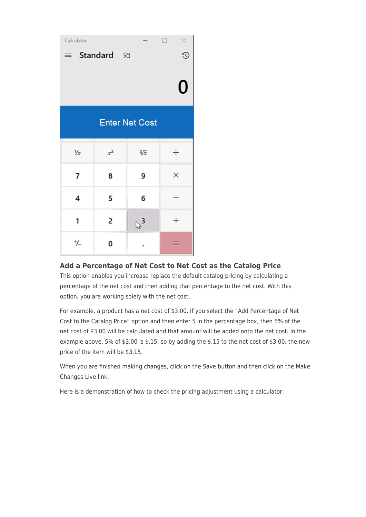| Calculator    |            |                       | $\times$<br>┐      |
|---------------|------------|-----------------------|--------------------|
| $\equiv$      | Standard 河 |                       | $\odot$            |
|               |            |                       | U                  |
|               |            | <b>Enter Net Cost</b> |                    |
| $\frac{1}{x}$ | $x^2$      | $\sqrt[2]{x}$         | ÷                  |
| 7             | 8          | 9                     | ×                  |
| 4             | 5          | 6                     |                    |
| 1             | 2          | $\mathbb{P}_3$        | $\hspace{0.1mm} +$ |
| ≁/_           | 0          |                       |                    |

# **Add a Percentage of Net Cost to Net Cost as the Catalog Price**

This option enables you increase replace the default catalog pricing by calculating a percentage of the net cost and then adding that percentage to the net cost. With this option, you are working solely with the net cost.

For example, a product has a net cost of \$3.00. If you select the "Add Percentage of Net Cost to the Catalog Price" option and then enter 5 in the percentage box, then 5% of the net cost of \$3.00 will be calculated and that amount will be added onto the net cost. In the example above, 5% of \$3.00 is \$.15; so by adding the \$.15 to the net cost of \$3.00, the new price of the item will be \$3.15.

When you are finished making changes, click on the Save button and then click on the Make Changes Live link.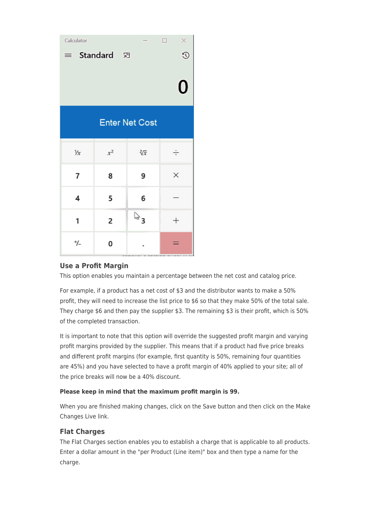| Calculator    |            |                       | ×<br>$\Box$ |
|---------------|------------|-----------------------|-------------|
| $\equiv$      | Standard 河 |                       | $\odot$     |
|               |            |                       | U           |
|               |            | <b>Enter Net Cost</b> |             |
| $\frac{1}{x}$ | $x^2$      | 欲                     | ÷           |
| 7             | 8          | 9                     | ×           |
| 4             | 5          | 6                     |             |
| 1             | 2          | $\mathbb{Z}^3$        | $^+$        |
| ≁/_           | 0          |                       |             |

# **Use a Profit Margin**

This option enables you maintain a percentage between the net cost and catalog price.

For example, if a product has a net cost of \$3 and the distributor wants to make a 50% profit, they will need to increase the list price to \$6 so that they make 50% of the total sale. They charge \$6 and then pay the supplier \$3. The remaining \$3 is their profit, which is 50% of the completed transaction.

It is important to note that this option will override the suggested profit margin and varying profit margins provided by the supplier. This means that if a product had five price breaks and different profit margins (for example, first quantity is 50%, remaining four quantities are 45%) and you have selected to have a profit margin of 40% applied to your site; all of the price breaks will now be a 40% discount.

### **Please keep in mind that the maximum profit margin is 99.**

When you are finished making changes, click on the Save button and then click on the Make Changes Live link.

## **Flat Charges**

The Flat Charges section enables you to establish a charge that is applicable to all products. Enter a dollar amount in the "per Product (Line item)" box and then type a name for the charge.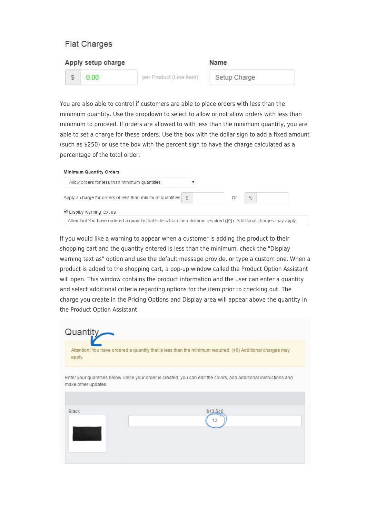# **Flat Charges**

| Apply setup charge |                         | Name         |  |
|--------------------|-------------------------|--------------|--|
| 0.00               | per Product (Line item) | Setup Charge |  |

You are also able to control if customers are able to place orders with less than the minimum quantity. Use the dropdown to select to allow or not allow orders with less than minimum to proceed. If orders are allowed to with less than the minimum quantity, you are able to set a charge for these orders. Use the box with the dollar sign to add a fixed amount (such as \$250) or use the box with the percent sign to have the charge calculated as a percentage of the total order.

| Allow orders for less than minimum quantities             |   |    |               |  |
|-----------------------------------------------------------|---|----|---------------|--|
| Apply a charge for orders of less than minimum quantities | S | Or | $\frac{0}{0}$ |  |
| $\blacksquare$ Display warning text as                    |   |    |               |  |

If you would like a warning to appear when a customer is adding the product to their shopping cart and the quantity entered is less than the minimum, check the "Display warning text as" option and use the default message provide, or type a custom one. When a product is added to the shopping cart, a pop-up window called the Product Option Assistant will open. This window contains the product information and the user can enter a quantity and select additional criteria regarding options for the item prior to checking out. The charge you create in the Pricing Options and Display area will appear above the quantity in the Product Option Assistant.

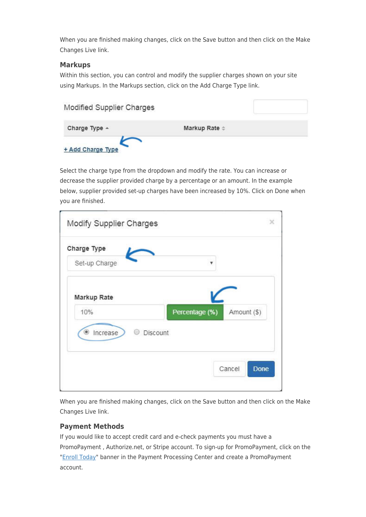When you are finished making changes, click on the Save button and then click on the Make Changes Live link.

## **Markups**

Within this section, you can control and modify the supplier charges shown on your site using Markups. In the Markups section, click on the Add Charge Type link.

| Modified Supplier Charges |                      |  |
|---------------------------|----------------------|--|
| Charge Type $\triangle$   | Markup Rate $\doteq$ |  |
| + Add Charge Type         |                      |  |

Select the charge type from the dropdown and modify the rate. You can increase or decrease the supplier provided charge by a percentage or an amount. In the example below, supplier provided set-up charges have been increased by 10%. Click on Done when you are finished.

| Charge Type   |                               |
|---------------|-------------------------------|
| Set-up Charge | v                             |
| Markup Rate   |                               |
| 10%           | Amount (\$)<br>Percentage (%) |
| Increase<br>۰ | <b>Discount</b>               |
|               |                               |

When you are finished making changes, click on the Save button and then click on the Make Changes Live link.

## **Payment Methods**

If you would like to accept credit card and e-check payments you must have a PromoPayment , Authorize.net, or Stripe account. To sign-up for PromoPayment, click on the "[Enroll Today](http://www.safesavepayments.com/promopayment/espwebsiteoffer.asp)" banner in the Payment Processing Center and create a PromoPayment account.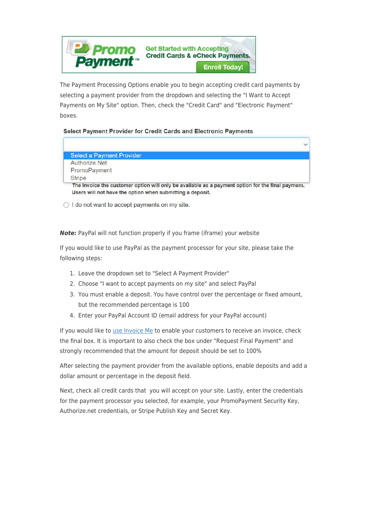

The Payment Processing Options enable you to begin accepting credit card payments by selecting a payment provider from the dropdown and selecting the "I Want to Accept Payments on My Site" option. Then, check the "Credit Card" and "Electronic Payment" boxes.

### Select Payment Provider for Credit Cards and Electronic Payments

|                                  | $\checkmark$ |
|----------------------------------|--------------|
| <b>Select a Payment Provider</b> |              |
| Authorize, Net                   |              |
| PromoPayment                     |              |
| <b>Stripe</b>                    |              |

◯ I do not want to accept payments on my site.

*Note:* PayPal will not function properly if you frame (iframe) your website

If you would like to use PayPal as the payment processor for your site, please take the following steps:

- 1. Leave the dropdown set to "Select A Payment Provider"
- 2. Choose "I want to accept payments on my site" and select PayPal
- 3. You must enable a deposit. You have control over the percentage or fixed amount, but the recommended percentage is 100
- 4. Enter your PayPal Account ID (email address for your PayPal account)

If you would like to [use Invoice Me](https://kb.asicentral.com/kb/articles/1986) to enable your customers to receive an invoice, check the final box. It is important to also check the box under "Request Final Payment" and strongly recommended that the amount for deposit should be set to 100%

After selecting the payment provider from the available options, enable deposits and add a dollar amount or percentage in the deposit field.

Next, check all credit cards that you will accept on your site. Lastly, enter the credentials for the payment processor you selected, for example, your PromoPayment Security Key, Authorize.net credentials, or Stripe Publish Key and Secret Key.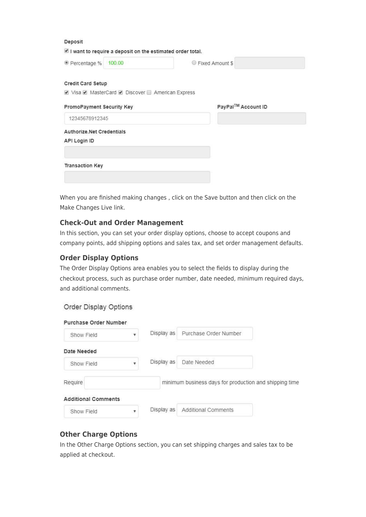#### Deposit

 $\blacksquare$  I want to require a deposit on the estimated order total.

© Percentage % 100.00

● Fixed Amount \$

#### **Credit Card Setup**

Ø Visa Ø MasterCard Ø Discover ■ American Express

| PromoPayment Security Key | PayPal™ Account ID |
|---------------------------|--------------------|
| 12345678912345            |                    |
| Authorize.Net Credentials |                    |
| API Login ID              |                    |
|                           |                    |
| <b>Transaction Key</b>    |                    |
|                           |                    |

When you are finished making changes , click on the Save button and then click on the Make Changes Live link.

#### **Check-Out and Order Management**

In this section, you can set your order display options, choose to accept coupons and company points, add shipping options and sales tax, and set order management defaults.

#### **Order Display Options**

The Order Display Options area enables you to select the fields to display during the checkout process, such as purchase order number, date needed, minimum required days, and additional comments.

#### Order Display Options

| Purchase Order Number      |            |                                                        |  |
|----------------------------|------------|--------------------------------------------------------|--|
| Show Field                 | Display as | Purchase Order Number                                  |  |
| Date Needed                |            |                                                        |  |
| Show Field                 | Display as | Date Needed                                            |  |
| Require                    |            | minimum business days for production and shipping time |  |
| <b>Additional Comments</b> |            |                                                        |  |
| Show Field                 | Display as | <b>Additional Comments</b>                             |  |

## **Other Charge Options**

In the Other Charge Options section, you can set shipping charges and sales tax to be applied at checkout.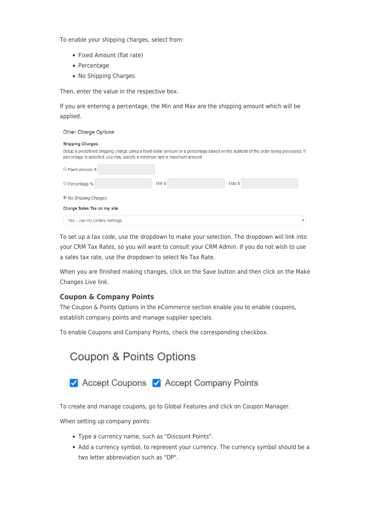To enable your shipping charges, select from:

- Fixed Amount (flat rate)
- Percentage
- No Shipping Charges

Then, enter the value in the respective box.

If you are entering a percentage, the Min and Max are the shipping amount which will be applied.

| Other Charge Options                                                                                                                                                                                                                        |        |        |
|---------------------------------------------------------------------------------------------------------------------------------------------------------------------------------------------------------------------------------------------|--------|--------|
| <b>Shipping Charges</b><br>Setup a predefined shipping charge using a fixed dollar amount or a percentage based on the subtotal of the order being processed. If<br>percentage is selected; you may specify a minimum and a maximum amount. |        |        |
| Fixed Amount \$                                                                                                                                                                                                                             |        |        |
| © Percentage %                                                                                                                                                                                                                              | Min \$ | Max \$ |
| <sup>●</sup> No Shipping Charges                                                                                                                                                                                                            |        |        |
| Charge Sales Tax on my site                                                                                                                                                                                                                 |        |        |
| Yes - Use my Orders Settings                                                                                                                                                                                                                |        |        |

To set up a tax code, use the dropdown to make your selection. The dropdown will link into your CRM Tax Rates, so you will want to consult your CRM Admin. If you do not wish to use a sales tax rate, use the dropdown to select No Tax Rate.

When you are finished making changes, click on the Save button and then click on the Make Changes Live link.

### **Coupon & Company Points**

The Coupon & Points Options in the eCommerce section enable you to enable coupons, establish company points and manage supplier specials.

To enable Coupons and Company Points, check the corresponding checkbox.



To create and manage coupons, go to Global Features and click on Coupon Manager.

When setting up company points:

- Type a currency name, such as "Discount Points".
- Add a currency symbol, to represent your currency. The currency symbol should be a two letter abbreviation such as "DP".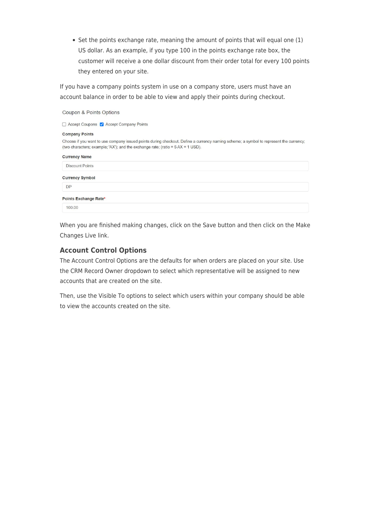• Set the points exchange rate, meaning the amount of points that will equal one (1) US dollar. As an example, if you type 100 in the points exchange rate box, the customer will receive a one dollar discount from their order total for every 100 points they entered on your site.

If you have a company points system in use on a company store, users must have an account balance in order to be able to view and apply their points during checkout.

| Coupon & Points Options                                                                                                                                                                                                    |  |  |  |  |  |
|----------------------------------------------------------------------------------------------------------------------------------------------------------------------------------------------------------------------------|--|--|--|--|--|
| □ Accept Coupons √ Accept Company Points                                                                                                                                                                                   |  |  |  |  |  |
| <b>Company Points</b>                                                                                                                                                                                                      |  |  |  |  |  |
| Choose if you want to use company issued points during checkout. Define a currency naming scheme; a symbol to represent the currency;<br>(two characters; example; 'AX'); and the exchange rate; (ratio = $5$ AX = 1 USD). |  |  |  |  |  |
| <b>Currency Name</b>                                                                                                                                                                                                       |  |  |  |  |  |
| <b>Discount Points</b>                                                                                                                                                                                                     |  |  |  |  |  |
| <b>Currency Symbol</b>                                                                                                                                                                                                     |  |  |  |  |  |
| <b>DP</b>                                                                                                                                                                                                                  |  |  |  |  |  |
| Points Exchange Rate*                                                                                                                                                                                                      |  |  |  |  |  |
| 100.00                                                                                                                                                                                                                     |  |  |  |  |  |
|                                                                                                                                                                                                                            |  |  |  |  |  |

When you are finished making changes, click on the Save button and then click on the Make Changes Live link.

## **Account Control Options**

The Account Control Options are the defaults for when orders are placed on your site. Use the CRM Record Owner dropdown to select which representative will be assigned to new accounts that are created on the site.

Then, use the Visible To options to select which users within your company should be able to view the accounts created on the site.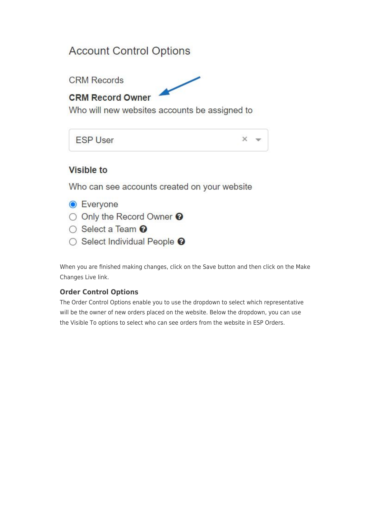# **Account Control Options**

**CRM Records** 



# **CRM Record Owner**

Who will new websites accounts be assigned to

**ESP User** 

 $\times$ 

# **Visible to**

Who can see accounts created on your website

- **Everyone**
- O Only the Record Owner <sup>O</sup>
- Select a Team <sup>●</sup>
- Select Individual People <sup>●</sup>

When you are finished making changes, click on the Save button and then click on the Make Changes Live link.

# **Order Control Options**

The Order Control Options enable you to use the dropdown to select which representative will be the owner of new orders placed on the website. Below the dropdown, you can use the Visible To options to select who can see orders from the website in ESP Orders.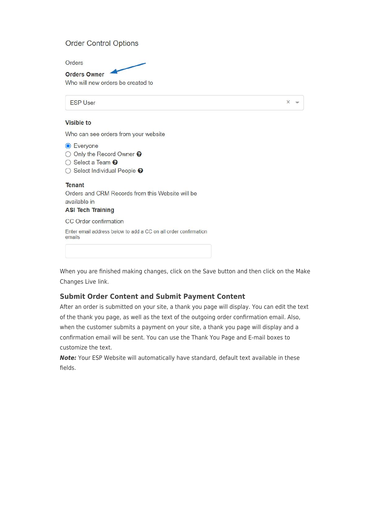## **Order Control Options**

Orders

**Orders Owner** Who will new orders be created to

**FSP User** 

 $\times$ 

#### **Visible to**

Who can see orders from your website

**C** Everyone O Only the Record Owner <sup>O</sup> ○ Select a Team <sup>●</sup> ○ Select Individual People <sup>●</sup> **Tenant** Orders and CRM Records from this Website will be available in **ASI Tech Training** CC Order confirmation Enter email address below to add a CC on all order confirmation emails

When you are finished making changes, click on the Save button and then click on the Make Changes Live link.

### **Submit Order Content and Submit Payment Content**

After an order is submitted on your site, a thank you page will display. You can edit the text of the thank you page, as well as the text of the outgoing order confirmation email. Also, when the customer submits a payment on your site, a thank you page will display and a confirmation email will be sent. You can use the Thank You Page and E-mail boxes to customize the text.

*Note:* Your ESP Website will automatically have standard, default text available in these fields.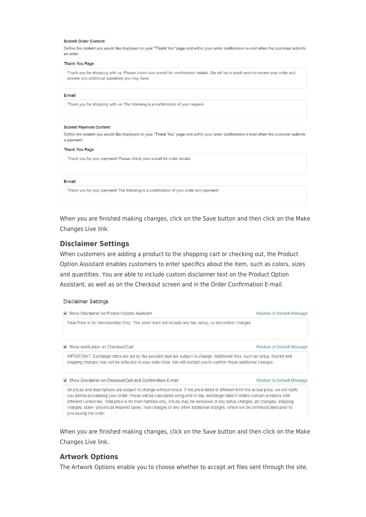#### **Submit Order Content**

Define the content you would like displayed on your "Thank You" page and within your order confirmation e-mail when the customer submits an order

#### Thank You Page

Thank you for shopping with us. Please check your e-mail for confirmation details. We will be in touch soon to review your order and answer any additional questions you may have.

#### E-mail

Thank you for shopping with us! The following is a confirmation of your request.

#### **Submit Payment Content**

Define the content you would like displayed on your "Thank You" page and within your order confirmation e-mail when the customer submits a payment.

#### **Thank You Page**

Thank you for your payment! Please check your e-mail for order details.

#### E-mail

Thank you for your payment! The following is a confirmation of your order and payment:

When you are finished making changes, click on the Save button and then click on the Make Changes Live link.

#### **Disclaimer Settings**

When customers are adding a product to the shopping cart or checking out, the Product Option Assistant enables customers to enter specifics about the item, such as colors, sizes and quantities. You are able to include custom disclaimer text on the Product Option Assistant, as well as on the Checkout screen and in the Order Confirmation E-mail.

#### **Disclaimer Settings**

| Show Disclaimer on Product Option Assistant                                                                                                                                                                                                                                                                                                                                                                                                                                                                                                                         | Restore to Default Message |
|---------------------------------------------------------------------------------------------------------------------------------------------------------------------------------------------------------------------------------------------------------------------------------------------------------------------------------------------------------------------------------------------------------------------------------------------------------------------------------------------------------------------------------------------------------------------|----------------------------|
| Total Price is for Merchandise Only. This price does not include any tax, setup, or decoration charges                                                                                                                                                                                                                                                                                                                                                                                                                                                              |                            |
| Show notification on Checkout/Cart                                                                                                                                                                                                                                                                                                                                                                                                                                                                                                                                  | Restore to Default Message |
| IMPORTANT: Exchange rates are set by the provider and are subject to change. Additional fees, such as setup, imprint and<br>shipping charges may not be reflected in your order total. We will contact you to confirm these additional charges.                                                                                                                                                                                                                                                                                                                     |                            |
| Show Disclaimer on Checkout/Cart and Confirmation E-mail                                                                                                                                                                                                                                                                                                                                                                                                                                                                                                            | Restore to Default Message |
| All prices and descriptions are subject to change without notice. If the price listed is different from the actual price, we will notify<br>you before processing your order. Prices will be calculated using end of day exchange rates if orders contain products with<br>different currencies. Total price is for merchandise only. Prices may be exclusive of any setup charges, art changes, shipping<br>charges, state / provincial required taxes, rush charges or any other additional charges, which will be communicated prior to<br>processing the order. |                            |

When you are finished making changes, click on the Save button and then click on the Make Changes Live link.

### **Artwork Options**

The Artwork Options enable you to choose whether to accept art files sent through the site.